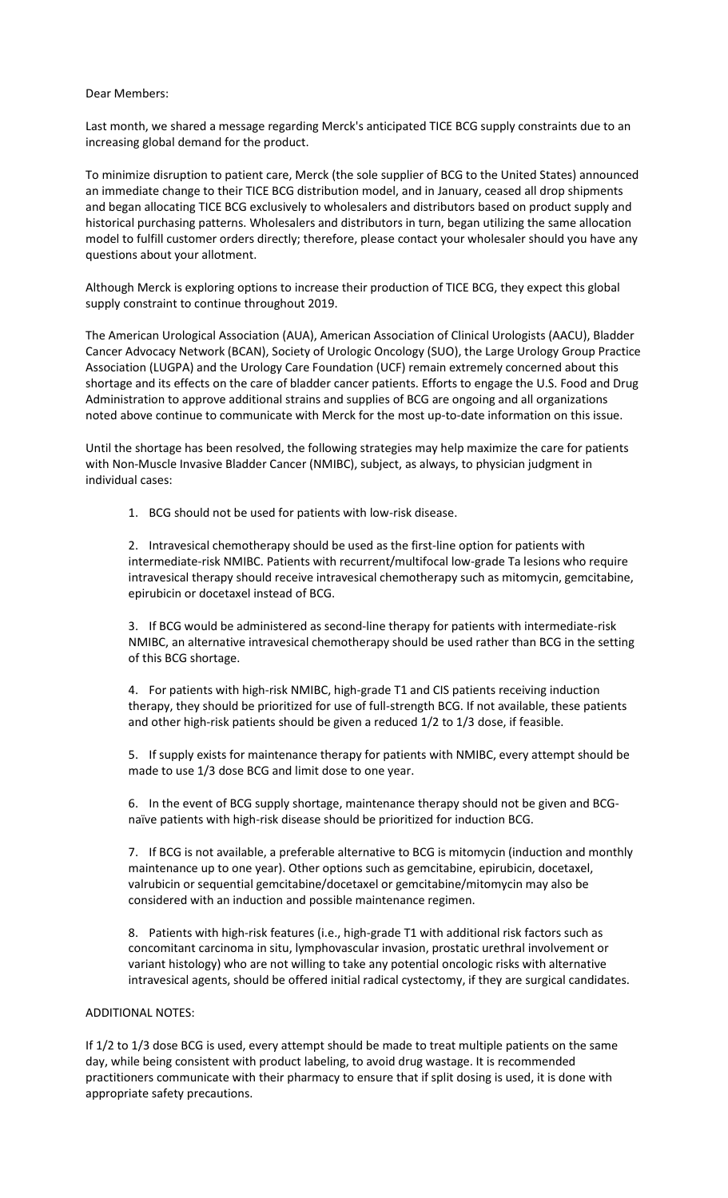## Dear Members:

Last month, we shared a message regarding Merck's anticipated TICE BCG supply constraints due to an increasing global demand for the product.

To minimize disruption to patient care, Merck (the sole supplier of BCG to the United States) announced an immediate change to their TICE BCG distribution model, and in January, ceased all drop shipments and began allocating TICE BCG exclusively to wholesalers and distributors based on product supply and historical purchasing patterns. Wholesalers and distributors in turn, began utilizing the same allocation model to fulfill customer orders directly; therefore, please contact your wholesaler should you have any questions about your allotment.

Although Merck is exploring options to increase their production of TICE BCG, they expect this global supply constraint to continue throughout 2019.

The American Urological Association (AUA), American Association of Clinical Urologists (AACU), Bladder Cancer Advocacy Network (BCAN), Society of Urologic Oncology (SUO), the Large Urology Group Practice Association (LUGPA) and the Urology Care Foundation (UCF) remain extremely concerned about this shortage and its effects on the care of bladder cancer patients. Efforts to engage the U.S. Food and Drug Administration to approve additional strains and supplies of BCG are ongoing and all organizations noted above continue to communicate with Merck for the most up-to-date information on this issue.

Until the shortage has been resolved, the following strategies may help maximize the care for patients with Non-Muscle Invasive Bladder Cancer (NMIBC), subject, as always, to physician judgment in individual cases:

1. BCG should not be used for patients with low-risk disease.

2. Intravesical chemotherapy should be used as the first-line option for patients with intermediate-risk NMIBC. Patients with recurrent/multifocal low-grade Ta lesions who require intravesical therapy should receive intravesical chemotherapy such as mitomycin, gemcitabine, epirubicin or docetaxel instead of BCG.

3. If BCG would be administered as second-line therapy for patients with intermediate-risk NMIBC, an alternative intravesical chemotherapy should be used rather than BCG in the setting of this BCG shortage.

4. For patients with high-risk NMIBC, high-grade T1 and CIS patients receiving induction therapy, they should be prioritized for use of full-strength BCG. If not available, these patients and other high-risk patients should be given a reduced 1/2 to 1/3 dose, if feasible.

5. If supply exists for maintenance therapy for patients with NMIBC, every attempt should be made to use 1/3 dose BCG and limit dose to one year.

6. In the event of BCG supply shortage, maintenance therapy should not be given and BCGnaïve patients with high-risk disease should be prioritized for induction BCG.

7. If BCG is not available, a preferable alternative to BCG is mitomycin (induction and monthly maintenance up to one year). Other options such as gemcitabine, epirubicin, docetaxel, valrubicin or sequential gemcitabine/docetaxel or gemcitabine/mitomycin may also be considered with an induction and possible maintenance regimen.

8. Patients with high-risk features (i.e., high-grade T1 with additional risk factors such as concomitant carcinoma in situ, lymphovascular invasion, prostatic urethral involvement or variant histology) who are not willing to take any potential oncologic risks with alternative intravesical agents, should be offered initial radical cystectomy, if they are surgical candidates.

## ADDITIONAL NOTES:

If 1/2 to 1/3 dose BCG is used, every attempt should be made to treat multiple patients on the same day, while being consistent with product labeling, to avoid drug wastage. It is recommended practitioners communicate with their pharmacy to ensure that if split dosing is used, it is done with appropriate safety precautions.